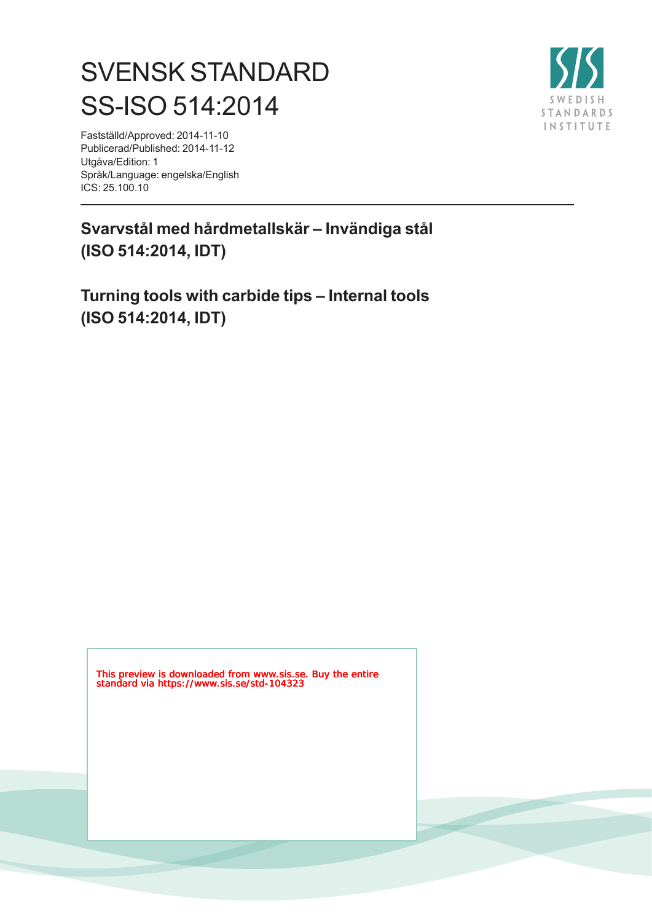# SVENSK STANDARD SS-ISO 514:2014



Fastställd/Approved: 2014-11-10 Publicerad/Published: 2014-11-12 Utgåva/Edition: 1 Språk/Language: engelska/English ICS: 25.100.10

**Svarvstål med hårdmetallskär – Invändiga stål (ISO 514:2014, IDT)**

**Turning tools with carbide tips – Internal tools (ISO 514:2014, IDT)**

This preview is downloaded from www.sis.se. Buy the entire standard via https://www.sis.se/std-104323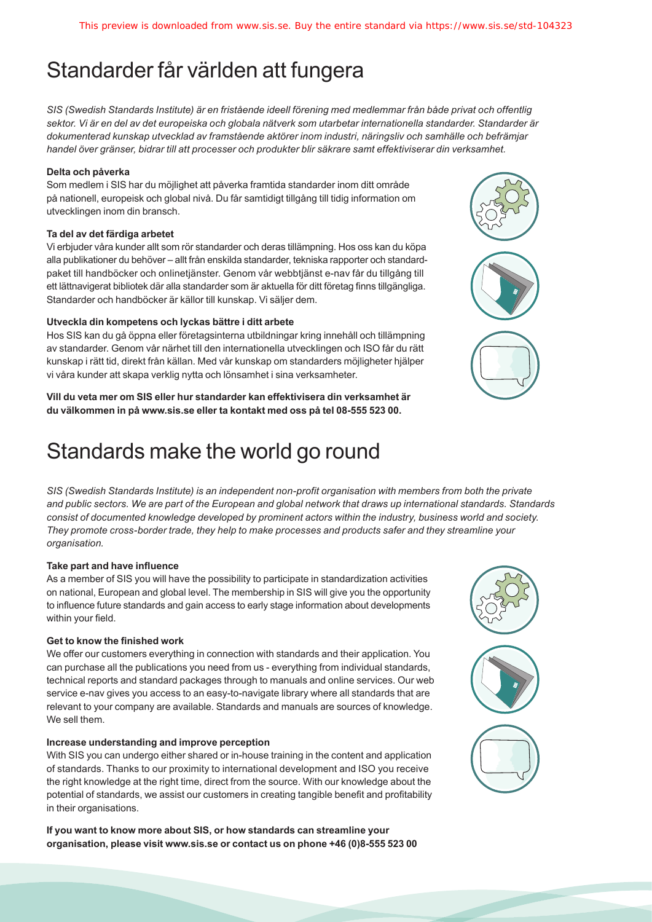# Standarder får världen att fungera

*SIS (Swedish Standards Institute) är en fristående ideell förening med medlemmar från både privat och offentlig sektor. Vi är en del av det europeiska och globala nätverk som utarbetar internationella standarder. Standarder är dokumenterad kunskap utvecklad av framstående aktörer inom industri, näringsliv och samhälle och befrämjar handel över gränser, bidrar till att processer och produkter blir säkrare samt effektiviserar din verksamhet.* 

#### **Delta och påverka**

Som medlem i SIS har du möjlighet att påverka framtida standarder inom ditt område på nationell, europeisk och global nivå. Du får samtidigt tillgång till tidig information om utvecklingen inom din bransch.

### **Ta del av det färdiga arbetet**

Vi erbjuder våra kunder allt som rör standarder och deras tillämpning. Hos oss kan du köpa alla publikationer du behöver – allt från enskilda standarder, tekniska rapporter och standardpaket till handböcker och onlinetjänster. Genom vår webbtjänst e-nav får du tillgång till ett lättnavigerat bibliotek där alla standarder som är aktuella för ditt företag finns tillgängliga. Standarder och handböcker är källor till kunskap. Vi säljer dem.

#### **Utveckla din kompetens och lyckas bättre i ditt arbete**

Hos SIS kan du gå öppna eller företagsinterna utbildningar kring innehåll och tillämpning av standarder. Genom vår närhet till den internationella utvecklingen och ISO får du rätt kunskap i rätt tid, direkt från källan. Med vår kunskap om standarders möjligheter hjälper vi våra kunder att skapa verklig nytta och lönsamhet i sina verksamheter.

**Vill du veta mer om SIS eller hur standarder kan effektivisera din verksamhet är du välkommen in på www.sis.se eller ta kontakt med oss på tel 08-555 523 00.**

# Standards make the world go round

*SIS (Swedish Standards Institute) is an independent non-profit organisation with members from both the private and public sectors. We are part of the European and global network that draws up international standards. Standards consist of documented knowledge developed by prominent actors within the industry, business world and society. They promote cross-border trade, they help to make processes and products safer and they streamline your organisation.*

#### **Take part and have influence**

As a member of SIS you will have the possibility to participate in standardization activities on national, European and global level. The membership in SIS will give you the opportunity to influence future standards and gain access to early stage information about developments within your field.

#### **Get to know the finished work**

We offer our customers everything in connection with standards and their application. You can purchase all the publications you need from us - everything from individual standards, technical reports and standard packages through to manuals and online services. Our web service e-nav gives you access to an easy-to-navigate library where all standards that are relevant to your company are available. Standards and manuals are sources of knowledge. We sell them.

#### **Increase understanding and improve perception**

With SIS you can undergo either shared or in-house training in the content and application of standards. Thanks to our proximity to international development and ISO you receive the right knowledge at the right time, direct from the source. With our knowledge about the potential of standards, we assist our customers in creating tangible benefit and profitability in their organisations.

**If you want to know more about SIS, or how standards can streamline your organisation, please visit www.sis.se or contact us on phone +46 (0)8-555 523 00**



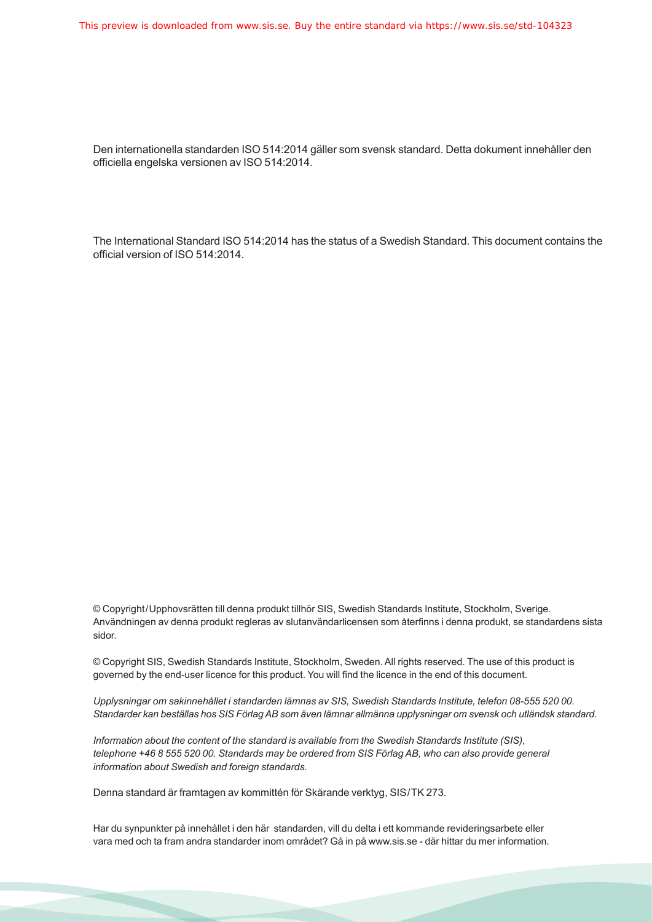Den internationella standarden ISO 514:2014 gäller som svensk standard. Detta dokument innehåller den officiella engelska versionen av ISO 514:2014.

The International Standard ISO 514:2014 has the status of a Swedish Standard. This document contains the official version of ISO 514:2014.

© Copyright / Upphovsrätten till denna produkt tillhör SIS, Swedish Standards Institute, Stockholm, Sverige. Användningen av denna produkt regleras av slutanvändarlicensen som återfinns i denna produkt, se standardens sista sidor.

© Copyright SIS, Swedish Standards Institute, Stockholm, Sweden. All rights reserved. The use of this product is governed by the end-user licence for this product. You will find the licence in the end of this document.

*Upplysningar om sakinnehållet i standarden lämnas av SIS, Swedish Standards Institute, telefon 08-555 520 00. Standarder kan beställas hos SIS Förlag AB som även lämnar allmänna upplysningar om svensk och utländsk standard.*

*Information about the content of the standard is available from the Swedish Standards Institute (SIS), telephone +46 8 555 520 00. Standards may be ordered from SIS Förlag AB, who can also provide general information about Swedish and foreign standards.*

Denna standard är framtagen av kommittén för Skärande verktyg, SIS / TK 273.

Har du synpunkter på innehållet i den här standarden, vill du delta i ett kommande revideringsarbete eller vara med och ta fram andra standarder inom området? Gå in på www.sis.se - där hittar du mer information.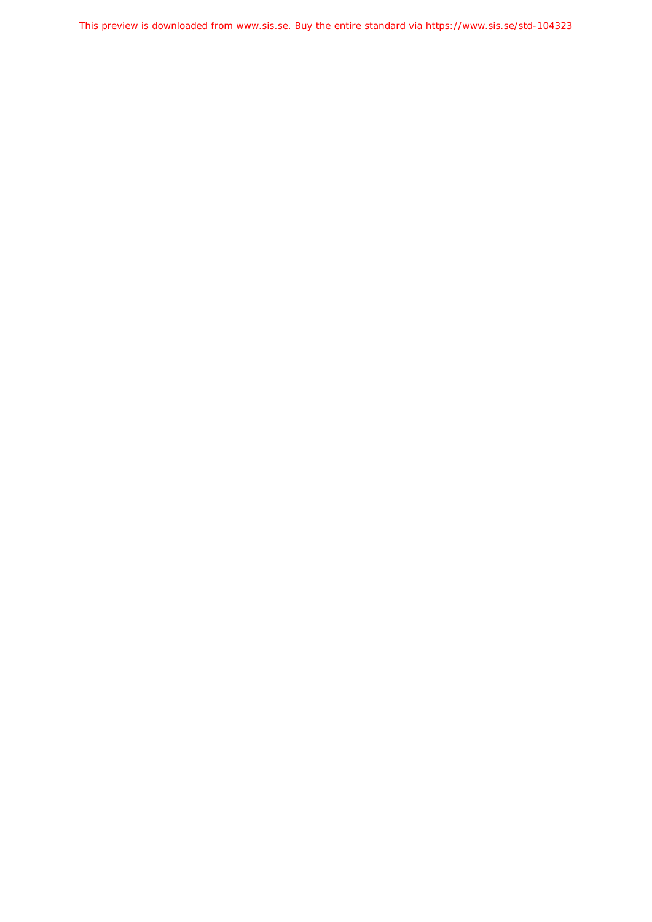This preview is downloaded from www.sis.se. Buy the entire standard via https://www.sis.se/std-104323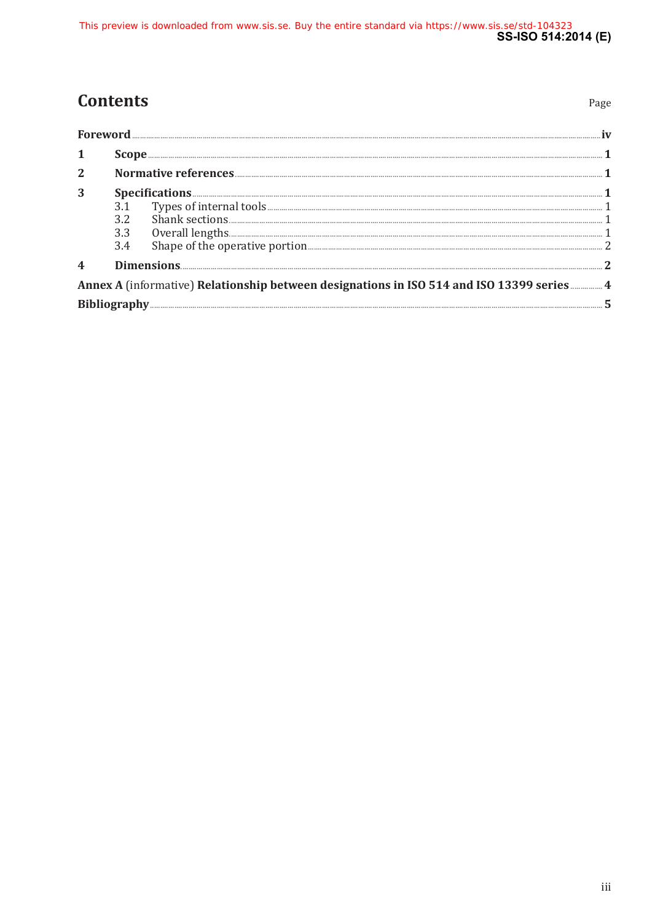# **Contents**

| <b>Foreword</b> |                     |                                                                                            |  |
|-----------------|---------------------|--------------------------------------------------------------------------------------------|--|
|                 |                     |                                                                                            |  |
| $\overline{2}$  |                     |                                                                                            |  |
| 3               |                     |                                                                                            |  |
|                 |                     |                                                                                            |  |
|                 |                     |                                                                                            |  |
|                 |                     |                                                                                            |  |
|                 |                     |                                                                                            |  |
| 4               | Dimensions          |                                                                                            |  |
|                 |                     | Annex A (informative) Relationship between designations in ISO 514 and ISO 13399 series  4 |  |
|                 | <b>Bibliography</b> |                                                                                            |  |

Page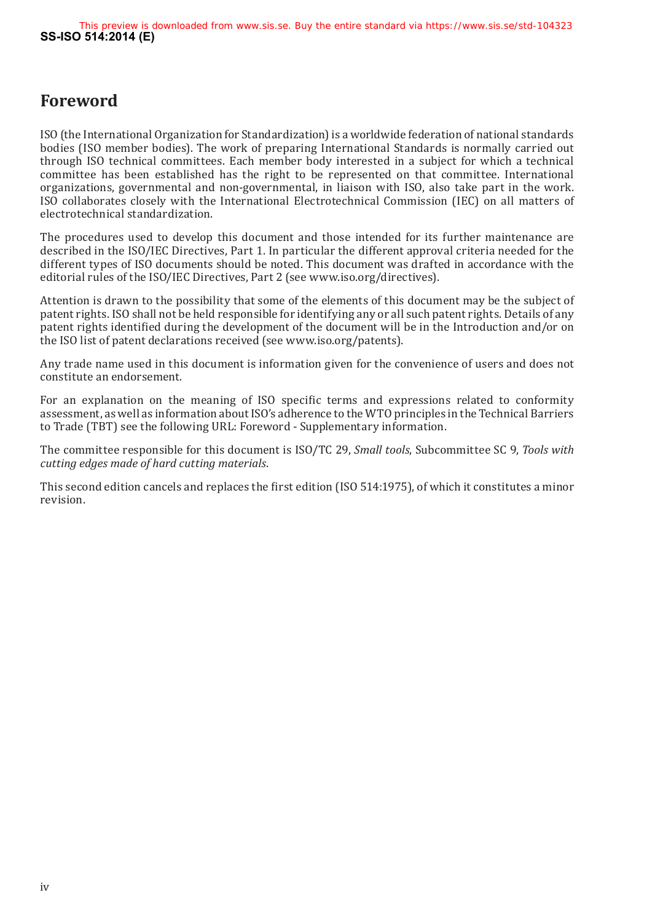# <span id="page-5-0"></span>**Foreword**

ISO (the International Organization for Standardization) is a worldwide federation of national standards bodies (ISO member bodies). The work of preparing International Standards is normally carried out through ISO technical committees. Each member body interested in a subject for which a technical committee has been established has the right to be represented on that committee. International organizations, governmental and non-governmental, in liaison with ISO, also take part in the work. ISO collaborates closely with the International Electrotechnical Commission (IEC) on all matters of electrotechnical standardization.

The procedures used to develop this document and those intended for its further maintenance are described in the ISO/IEC Directives, Part 1. In particular the different approval criteria needed for the different types of ISO documents should be noted. This document was drafted in accordance with the editorial rules of the ISO/IEC Directives, Part 2 (see [www.iso.org/directives\)](http://www.iso.org/directives).

Attention is drawn to the possibility that some of the elements of this document may be the subject of patent rights. ISO shall not be held responsible for identifying any or all such patent rights. Details of any patent rights identified during the development of the document will be in the Introduction and/or on the ISO list of patent declarations received (see [www.iso.org/patents](http://www.iso.org/patents)).

Any trade name used in this document is information given for the convenience of users and does not constitute an endorsement.

For an explanation on the meaning of ISO specific terms and expressions related to conformity assessment, as well as information about ISO's adherence to the WTO principles in the Technical Barriers to Trade (TBT) see the following URL: [Foreword - Supplementary information.](http://www.iso.org/iso/home/standards_development/resources-for-technical-work/foreword.htm)

The committee responsible for this document is ISO/TC 29, *Small tools*, Subcommittee SC 9, *Tools with cutting edges made of hard cutting materials*.

This second edition cancels and replaces the first edition (ISO 514:1975), of which it constitutes a minor revision.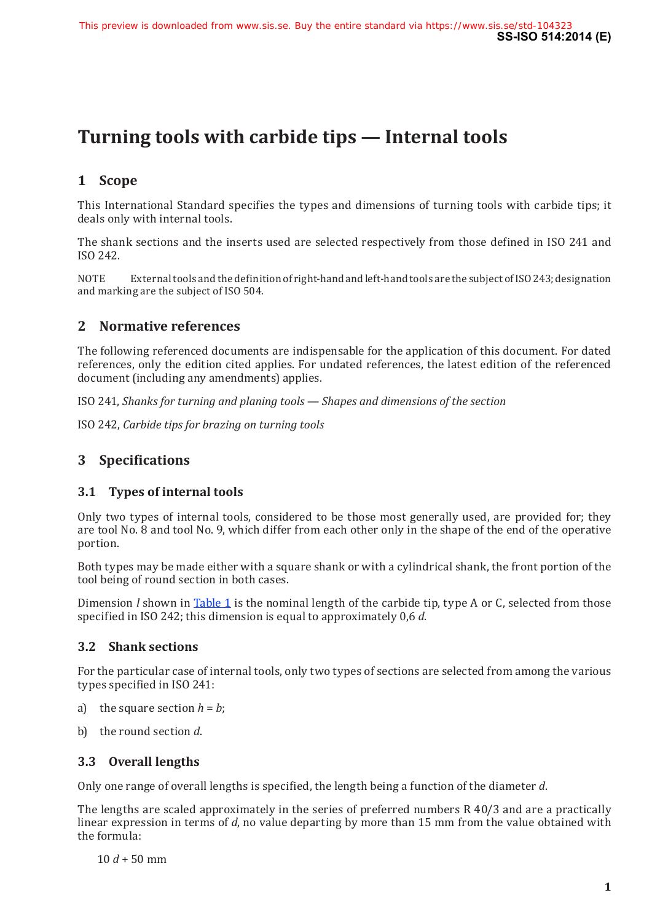# <span id="page-6-0"></span>**Turning tools with carbide tips — Internal tools**

# **1 Scope**

This International Standard specifies the types and dimensions of turning tools with carbide tips; it deals only with internal tools.

The shank sections and the inserts used are selected respectively from those defined in ISO 241 and ISO 242.

NOTE External tools and the definition of right-hand and left-hand tools are the subject of ISO243; designation and marking are the subject of ISO 504.

## **2 Normative references**

The following referenced documents are indispensable for the application of this document. For dated references, only the edition cited applies. For undated references, the latest edition of the referenced document (including any amendments) applies.

ISO 241, *Shanks for turning and planing tools — Shapes and dimensions of the section*

ISO 242, *Carbide tips for brazing on turning tools*

# **3 Specifications**

### **3.1 Types of internal tools**

Only two types of internal tools, considered to be those most generally used, are provided for; they are tool No. 8 and tool No. 9, which differ from each other only in the shape of the end of the operative portion.

Both types may be made either with a square shank or with a cylindrical shank, the front portion of the tool being of round section in both cases.

Dimension *l* shown in Table 1 is the nominal length of the carbide tip, type A or C, selected from those specified in ISO 242; this dimension is equal to approximately 0,6 *d*.

### **3.2 Shank sections**

For the particular case of internal tools, only two types of sections are selected from among the various types specified in ISO 241:

- a) the square section  $h = b$ ;
- b) the round section *d*.

### **3.3 Overall lengths**

Only one range of overall lengths is specified, the length being a function of the diameter *d*.

The lengths are scaled approximately in the series of preferred numbers R 40/3 and are a practically linear expression in terms of *d*, no value departing by more than 15 mm from the value obtained with the formula:

 $10 d + 50 mm$